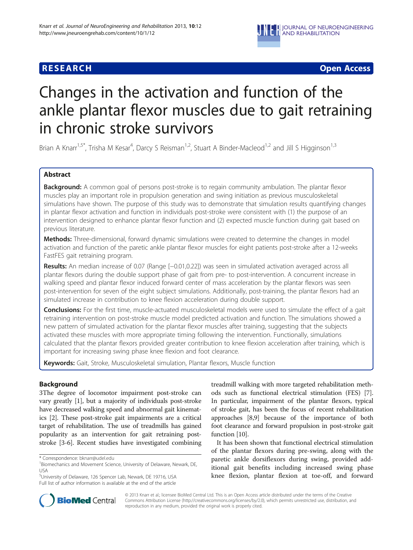# I JOURNAL OF NEUROENGINEERING **I** AND REHABILITATION

# **RESEARCH CHINESE ARCH CHINESE ARCH CHINESE ARCH <b>CHINESE ARCH**

# Changes in the activation and function of the ankle plantar flexor muscles due to gait retraining in chronic stroke survivors

Brian A Knarr<sup>1,5\*</sup>, Trisha M Kesar<sup>4</sup>, Darcy S Reisman<sup>1,2</sup>, Stuart A Binder-Macleod<sup>1,2</sup> and Jill S Higginson<sup>1,3</sup>

## Abstract

Background: A common goal of persons post-stroke is to regain community ambulation. The plantar flexor muscles play an important role in propulsion generation and swing initiation as previous musculoskeletal simulations have shown. The purpose of this study was to demonstrate that simulation results quantifying changes in plantar flexor activation and function in individuals post-stroke were consistent with (1) the purpose of an intervention designed to enhance plantar flexor function and (2) expected muscle function during gait based on previous literature.

Methods: Three-dimensional, forward dynamic simulations were created to determine the changes in model activation and function of the paretic ankle plantar flexor muscles for eight patients post-stroke after a 12-weeks FastFES gait retraining program.

Results: An median increase of 0.07 (Range [−0.01,0.22]) was seen in simulated activation averaged across all plantar flexors during the double support phase of gait from pre- to post-intervention. A concurrent increase in walking speed and plantar flexor induced forward center of mass acceleration by the plantar flexors was seen post-intervention for seven of the eight subject simulations. Additionally, post-training, the plantar flexors had an simulated increase in contribution to knee flexion acceleration during double support.

Conclusions: For the first time, muscle-actuated musculoskeletal models were used to simulate the effect of a gait retraining intervention on post-stroke muscle model predicted activation and function. The simulations showed a new pattern of simulated activation for the plantar flexor muscles after training, suggesting that the subjects activated these muscles with more appropriate timing following the intervention. Functionally, simulations calculated that the plantar flexors provided greater contribution to knee flexion acceleration after training, which is important for increasing swing phase knee flexion and foot clearance.

Keywords: Gait, Stroke, Musculoskeletal simulation, Plantar flexors, Muscle function

## Background

3The degree of locomotor impairment post-stroke can vary greatly [[1\]](#page-7-0), but a majority of individuals post-stroke have decreased walking speed and abnormal gait kinematics [\[2](#page-7-0)]. These post-stroke gait impairments are a critical target of rehabilitation. The use of treadmills has gained popularity as an intervention for gait retraining poststroke [\[3](#page-7-0)-[6\]](#page-7-0). Recent studies have investigated combining

treadmill walking with more targeted rehabilitation methods such as functional electrical stimulation (FES) [[7](#page-7-0)]. In particular, impairment of the plantar flexors, typical of stroke gait, has been the focus of recent rehabilitation approaches [[8,9](#page-7-0)] because of the importance of both foot clearance and forward propulsion in post-stroke gait function [\[10\]](#page-7-0).

It has been shown that functional electrical stimulation of the plantar flexors during pre-swing, along with the paretic ankle dorsiflexors during swing, provided additional gait benefits including increased swing phase knee flexion, plantar flexion at toe-off, and forward



© 2013 Knarr et al.; licensee BioMed Central Ltd. This is an Open Access article distributed under the terms of the Creative Commons Attribution License [\(http://creativecommons.org/licenses/by/2.0\)](http://creativecommons.org/licenses/by/2.0), which permits unrestricted use, distribution, and reproduction in any medium, provided the original work is properly cited.

<sup>\*</sup> Correspondence: [bknarr@udel.edu](mailto:bknarr@udel.edu) <sup>1</sup>

<sup>&</sup>lt;sup>1</sup>Biomechanics and Movement Science, University of Delaware, Newark, DE, USA

<sup>5</sup> University of Delaware, 126 Spencer Lab, Newark, DE 19716, USA Full list of author information is available at the end of the article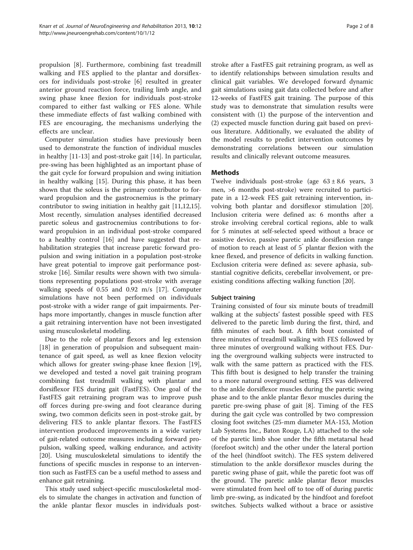propulsion [[8\]](#page-7-0). Furthermore, combining fast treadmill walking and FES applied to the plantar and dorsiflexors for individuals post-stroke [[6\]](#page-7-0) resulted in greater anterior ground reaction force, trailing limb angle, and swing phase knee flexion for individuals post-stroke compared to either fast walking or FES alone. While these immediate effects of fast walking combined with FES are encouraging, the mechanisms underlying the effects are unclear.

Computer simulation studies have previously been used to demonstrate the function of individual muscles in healthy [\[11](#page-7-0)-[13](#page-7-0)] and post-stroke gait [\[14\]](#page-7-0). In particular, pre-swing has been highlighted as an important phase of the gait cycle for forward propulsion and swing initiation in healthy walking [[15\]](#page-7-0). During this phase, it has been shown that the soleus is the primary contributor to forward propulsion and the gastrocnemius is the primary contributor to swing initiation in healthy gait [\[11,12,15](#page-7-0)]. Most recently, simulation analyses identified decreased paretic soleus and gastrocnemius contributions to forward propulsion in an individual post-stroke compared to a healthy control [[16](#page-7-0)] and have suggested that rehabilitation strategies that increase paretic forward propulsion and swing initiation in a population post-stroke have great potential to improve gait performance poststroke [\[16\]](#page-7-0). Similar results were shown with two simulations representing populations post-stroke with average walking speeds of 0.55 and 0.92 m/s [\[17](#page-7-0)]. Computer simulations have not been performed on individuals post-stroke with a wider range of gait impairments. Perhaps more importantly, changes in muscle function after a gait retraining intervention have not been investigated using musculoskeletal modeling.

Due to the role of plantar flexors and leg extension [[18\]](#page-7-0) in generation of propulsion and subsequent maintenance of gait speed, as well as knee flexion velocity which allows for greater swing-phase knee flexion [\[19](#page-7-0)], we developed and tested a novel gait training program combining fast treadmill walking with plantar and dorsiflexor FES during gait (FastFES). One goal of the FastFES gait retraining program was to improve push off forces during pre-swing and foot clearance during swing, two common deficits seen in post-stroke gait, by delivering FES to ankle plantar flexors. The FastFES intervention produced improvements in a wide variety of gait-related outcome measures including forward propulsion, walking speed, walking endurance, and activity [[20](#page-7-0)]. Using musculoskeletal simulations to identify the functions of specific muscles in response to an intervention such as FastFES can be a useful method to assess and enhance gait retraining.

This study used subject-specific musculoskeletal models to simulate the changes in activation and function of the ankle plantar flexor muscles in individuals post-

stroke after a FastFES gait retraining program, as well as to identify relationships between simulation results and clinical gait variables. We developed forward dynamic gait simulations using gait data collected before and after 12-weeks of FastFES gait training. The purpose of this study was to demonstrate that simulation results were consistent with (1) the purpose of the intervention and (2) expected muscle function during gait based on previous literature. Additionally, we evaluated the ability of the model results to predict intervention outcomes by demonstrating correlations between our simulation results and clinically relevant outcome measures.

#### **Methods**

Twelve individuals post-stroke (age  $63 \pm 8.6$  years, 3 men, >6 months post-stroke) were recruited to participate in a 12-week FES gait retraining intervention, involving both plantar and dorsiflexor stimulation [\[20](#page-7-0)]. Inclusion criteria were defined as: 6 months after a stroke involving cerebral cortical regions, able to walk for 5 minutes at self-selected speed without a brace or assistive device, passive paretic ankle dorsiflexion range of motion to reach at least of 5° plantar flexion with the knee flexed, and presence of deficits in walking function. Exclusion criteria were defined as: severe aphasia, substantial cognitive deficits, cerebellar involvement, or preexisting conditions affecting walking function [\[20](#page-7-0)].

#### Subject training

Training consisted of four six minute bouts of treadmill walking at the subjects' fastest possible speed with FES delivered to the paretic limb during the first, third, and fifth minutes of each bout. A fifth bout consisted of three minutes of treadmill walking with FES followed by three minutes of overground walking without FES. During the overground walking subjects were instructed to walk with the same pattern as practiced with the FES. This fifth bout is designed to help transfer the training to a more natural overground setting. FES was delivered to the ankle dorsiflexor muscles during the paretic swing phase and to the ankle plantar flexor muscles during the paretic pre-swing phase of gait [\[8\]](#page-7-0). Timing of the FES during the gait cycle was controlled by two compression closing foot switches (25-mm diameter MA-153, Motion Lab Systems Inc., Baton Rouge, LA) attached to the sole of the paretic limb shoe under the fifth metatarsal head (forefoot switch) and the other under the lateral portion of the heel (hindfoot switch). The FES system delivered stimulation to the ankle dorsiflexor muscles during the paretic swing phase of gait, while the paretic foot was off the ground. The paretic ankle plantar flexor muscles were stimulated from heel off to toe off of during paretic limb pre-swing, as indicated by the hindfoot and forefoot switches. Subjects walked without a brace or assistive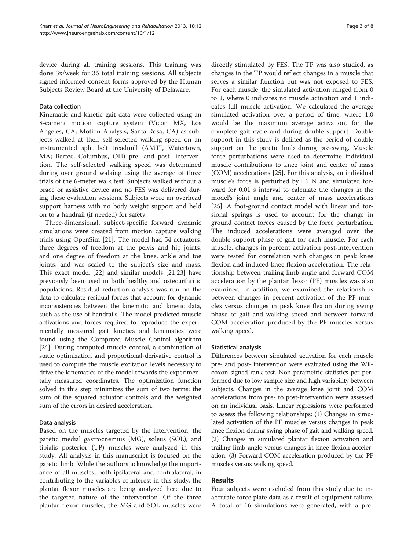device during all training sessions. This training was done 3x/week for 36 total training sessions. All subjects signed informed consent forms approved by the Human Subjects Review Board at the University of Delaware.

#### Data collection

Kinematic and kinetic gait data were collected using an 8-camera motion capture system (Vicon MX, Los Angeles, CA; Motion Analysis, Santa Rosa, CA) as subjects walked at their self-selected walking speed on an instrumented split belt treadmill (AMTI, Watertown, MA; Bertec, Columbus, OH) pre- and post- intervention. The self-selected walking speed was determined during over ground walking using the average of three trials of the 6-meter walk test. Subjects walked without a brace or assistive device and no FES was delivered during these evaluation sessions. Subjects wore an overhead support harness with no body weight support and held on to a handrail (if needed) for safety.

Three-dimensional, subject-specific forward dynamic simulations were created from motion capture walking trials using OpenSim [\[21\]](#page-7-0). The model had 54 actuators, three degrees of freedom at the pelvis and hip joints, and one degree of freedom at the knee, ankle and toe joints, and was scaled to the subject's size and mass. This exact model [\[22](#page-7-0)] and similar models [[21,23\]](#page-7-0) have previously been used in both healthy and osteoarthritic populations. Residual reduction analysis was run on the data to calculate residual forces that account for dynamic inconsistencies between the kinematic and kinetic data, such as the use of handrails. The model predicted muscle activations and forces required to reproduce the experimentally measured gait kinetics and kinematics were found using the Computed Muscle Control algorithm [[24](#page-7-0)]. During computed muscle control, a combination of static optimization and proportional-derivative control is used to compute the muscle excitation levels necessary to drive the kinematics of the model towards the experimentally measured coordinates. The optimization function solved in this step minimizes the sum of two terms: the sum of the squared actuator controls and the weighted sum of the errors in desired acceleration.

#### Data analysis

Based on the muscles targeted by the intervention, the paretic medial gastrocnemius (MG), soleus (SOL), and tibialis posterior (TP) muscles were analyzed in this study. All analysis in this manuscript is focused on the paretic limb. While the authors acknowledge the importance of all muscles, both ipsilateral and contralateral, in contributing to the variables of interest in this study, the plantar flexor muscles are being analyzed here due to the targeted nature of the intervention. Of the three plantar flexor muscles, the MG and SOL muscles were directly stimulated by FES. The TP was also studied, as changes in the TP would reflect changes in a muscle that serves a similar function but was not exposed to FES. For each muscle, the simulated activation ranged from 0 to 1, where 0 indicates no muscle activation and 1 indicates full muscle activation. We calculated the average simulated activation over a period of time, where 1.0 would be the maximum average activation, for the complete gait cycle and during double support. Double support in this study is defined as the period of double support on the paretic limb during pre-swing. Muscle force perturbations were used to determine individual muscle contributions to knee joint and center of mass (COM) accelerations [\[25](#page-7-0)]. For this analysis, an individual muscle's force is perturbed by  $\pm 1$  N and simulated forward for 0.01 s interval to calculate the changes in the model's joint angle and center of mass accelerations [[25\]](#page-7-0). A foot-ground contact model with linear and torsional springs is used to account for the change in ground contact forces caused by the force perturbation. The induced accelerations were averaged over the double support phase of gait for each muscle. For each muscle, changes in percent activation post-intervention were tested for correlation with changes in peak knee flexion and induced knee flexion acceleration. The relationship between trailing limb angle and forward COM acceleration by the plantar flexor (PF) muscles was also examined. In addition, we examined the relationships between changes in percent activation of the PF muscles versus changes in peak knee flexion during swing phase of gait and walking speed and between forward COM acceleration produced by the PF muscles versus walking speed.

#### Statistical analysis

Differences between simulated activation for each muscle pre- and post- intervention were evaluated using the Wilcoxon signed-rank test. Non-parametric statistics per performed due to low sample size and high variability between subjects. Changes in the average knee joint and COM accelerations from pre- to post-intervention were assessed on an individual basis. Linear regressions were performed to assess the following relationships: (1) Changes in simulated activation of the PF muscles versus changes in peak knee flexion during swing phase of gait and walking speed. (2) Changes in simulated plantar flexion activation and trailing limb angle versus changes in knee flexion acceleration. (3) Forward COM acceleration produced by the PF muscles versus walking speed.

#### Results

Four subjects were excluded from this study due to inaccurate force plate data as a result of equipment failure. A total of 16 simulations were generated, with a pre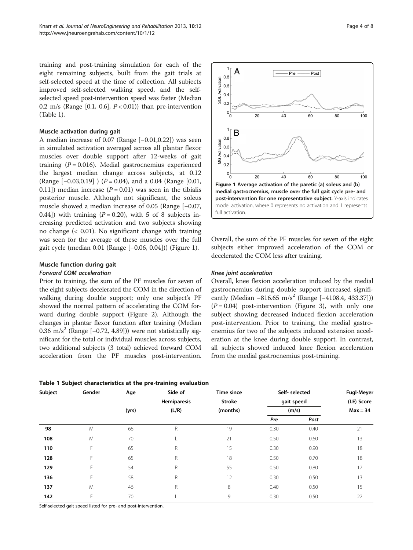training and post-training simulation for each of the eight remaining subjects, built from the gait trials at self-selected speed at the time of collection. All subjects improved self-selected walking speed, and the selfselected speed post-intervention speed was faster (Median 0.2 m/s (Range [0.1, 0.6],  $P < 0.01$ ) than pre-intervention (Table 1).

#### Muscle activation during gait

A median increase of 0.07 (Range [−0.01,0.22]) was seen in simulated activation averaged across all plantar flexor muscles over double support after 12-weeks of gait training  $(P = 0.016)$ . Medial gastrocnemius experienced the largest median change across subjects, at 0.12 (Range  $[-0.03, 0.19]$ ) ( $P = 0.04$ ), and a 0.04 (Range [0.01, 0.11]) median increase  $(P = 0.01)$  was seen in the tibialis posterior muscle. Although not significant, the soleus muscle showed a median increase of 0.05 (Range [−0.07, 0.44]) with training  $(P = 0.20)$ , with 5 of 8 subjects increasing predicted activation and two subjects showing no change (< 0.01). No significant change with training was seen for the average of these muscles over the full gait cycle (median 0.01 (Range [−0.06, 0.04])) (Figure 1).

### Muscle function during gait

#### Forward COM acceleration

Prior to training, the sum of the PF muscles for seven of the eight subjects decelerated the COM in the direction of walking during double support; only one subject's PF showed the normal pattern of accelerating the COM forward during double support (Figure [2](#page-4-0)). Although the changes in plantar flexor function after training (Median 0.36 m/s<sup>2</sup> (Range [-0.72, 4.89])) were not statistically significant for the total or individual muscles across subjects, two additional subjects (3 total) achieved forward COM acceleration from the PF muscles post-intervention.

Table 1 Subject characteristics at the pre-training evaluation



Overall, the sum of the PF muscles for seven of the eight subjects either improved acceleration of the COM or decelerated the COM less after training.

#### Knee joint acceleration

Overall, knee flexion acceleration induced by the medial gastrocnemius during double support increased significantly (Median  $-816.65$  m/s<sup>2</sup> (Range [ $-4108.4$ , 433.37]))  $(P = 0.04)$  post-intervention (Figure [3](#page-4-0)), with only one subject showing decreased induced flexion acceleration post-intervention. Prior to training, the medial gastrocnemius for two of the subjects induced extension acceleration at the knee during double support. In contrast, all subjects showed induced knee flexion acceleration from the medial gastrocnemius post-training.

| Subject | Gender | Age<br>(yrs) | Side of<br>Hemiparesis<br>(L/R) | Time since<br><b>Stroke</b><br>(months) | Self- selected<br>gait speed<br>(m/s) |      | <b>Fugl-Meyer</b><br>(LE) Score<br>$Max = 34$ |     |      |      |      |    |
|---------|--------|--------------|---------------------------------|-----------------------------------------|---------------------------------------|------|-----------------------------------------------|-----|------|------|------|----|
|         |        |              |                                 |                                         |                                       |      |                                               | Pre | Post |      |      |    |
|         |        |              |                                 |                                         |                                       |      |                                               | 98  | M    | 66   | R    | 19 |
|         |        |              |                                 |                                         | 108                                   | M    | 70                                            | L   | 21   | 0.50 | 0.60 | 13 |
| 110     | F      | 65           | R                               | 15                                      | 0.30                                  | 0.90 | 18                                            |     |      |      |      |    |
| 128     | F      | 65           | R                               | 18                                      | 0.50                                  | 0.70 | 18                                            |     |      |      |      |    |
| 129     | F      | 54           | R                               | 55                                      | 0.50                                  | 0.80 | 17                                            |     |      |      |      |    |
| 136     | F      | 58           | R                               | 12                                      | 0.30                                  | 0.50 | 13                                            |     |      |      |      |    |
| 137     | M      | 46           | R                               | 8                                       | 0.40                                  | 0.50 | 15                                            |     |      |      |      |    |
| 142     | F      | 70           |                                 | 9                                       | 0.30                                  | 0.50 | 22                                            |     |      |      |      |    |

Self-selected gait speed listed for pre- and post-intervention.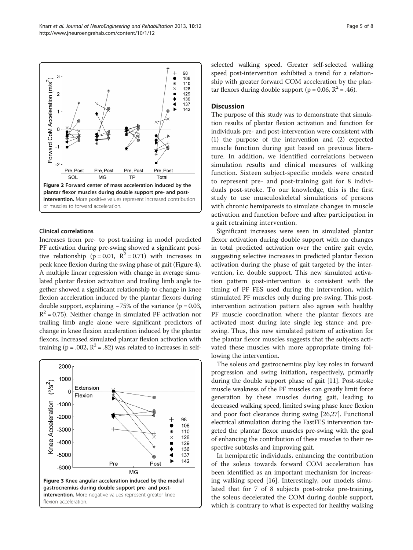Clinical correlations Increases from pre- to post-training in model predicted PF activation during pre-swing showed a significant positive relationship ( $p = 0.01$ ,  $R^2 = 0.71$ ) with increases in peak knee flexion during the swing phase of gait (Figure [4](#page-5-0)). A multiple linear regression with change in average simulated plantar flexion activation and trailing limb angle together showed a significant relationship to change in knee flexion acceleration induced by the plantar flexors during double support, explaining  $\sim$ 75% of the variance (p = 0.03,  $R^2$  = 0.75). Neither change in simulated PF activation nor trailing limb angle alone were significant predictors of change in knee flexion acceleration induced by the plantar flexors. Increased simulated plantar flexion activation with training ( $p = .002$ ,  $R^2 = .82$ ) was related to increases in self-



```
selected walking speed. Greater self-selected walking
speed post-intervention exhibited a trend for a relation-
ship with greater forward COM acceleration by the plan-
tar flexors during double support (p = 0.06, R^2 = .46).
```
#### **Discussion**

The purpose of this study was to demonstrate that simulation results of plantar flexion activation and function for individuals pre- and post-intervention were consistent with (1) the purpose of the intervention and (2) expected muscle function during gait based on previous literature. In addition, we identified correlations between simulation results and clinical measures of walking function. Sixteen subject-specific models were created to represent pre- and post-training gait for 8 individuals post-stroke. To our knowledge, this is the first study to use musculoskeletal simulations of persons with chronic hemiparesis to simulate changes in muscle activation and function before and after participation in a gait retraining intervention.

Significant increases were seen in simulated plantar flexor activation during double support with no changes in total predicted activation over the entire gait cycle, suggesting selective increases in predicted plantar flexion activation during the phase of gait targeted by the intervention, i.e. double support. This new simulated activation pattern post-intervention is consistent with the timing of PF FES used during the intervention, which stimulated PF muscles only during pre-swing. This postintervention activation pattern also agrees with healthy PF muscle coordination where the plantar flexors are activated most during late single leg stance and preswing. Thus, this new simulated pattern of activation for the plantar flexor muscles suggests that the subjects activated these muscles with more appropriate timing following the intervention.

The soleus and gastrocnemius play key roles in forward progression and swing initiation, respectively, primarily during the double support phase of gait [\[11\]](#page-7-0). Post-stroke muscle weakness of the PF muscles can greatly limit force generation by these muscles during gait, leading to decreased walking speed, limited swing phase knee flexion and poor foot clearance during swing [[26,27](#page-7-0)]. Functional electrical stimulation during the FastFES intervention targeted the plantar flexor muscles pre-swing with the goal of enhancing the contribution of these muscles to their respective subtasks and improving gait.

In hemiparetic individuals, enhancing the contribution of the soleus towards forward COM acceleration has been identified as an important mechanism for increasing walking speed [\[16](#page-7-0)]. Interestingly, our models simulated that for 7 of 8 subjects post-stroke pre-training, the soleus decelerated the COM during double support, which is contrary to what is expected for healthy walking

<span id="page-4-0"></span>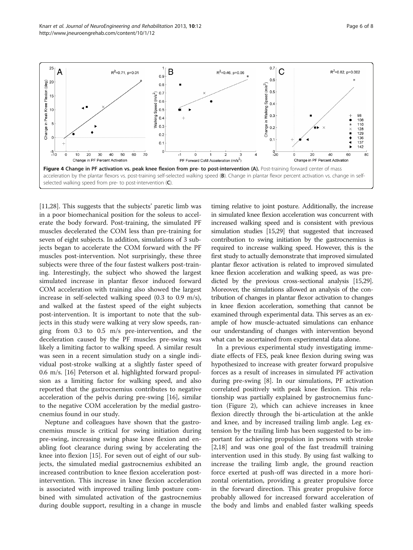[[11,28\]](#page-7-0). This suggests that the subjects' paretic limb was in a poor biomechanical position for the soleus to accelerate the body forward. Post-training, the simulated PF muscles decelerated the COM less than pre-training for seven of eight subjects. In addition, simulations of 3 subjects began to accelerate the COM forward with the PF muscles post-intervention. Not surprisingly, these three subjects were three of the four fastest walkers post-training. Interestingly, the subject who showed the largest simulated increase in plantar flexor induced forward COM acceleration with training also showed the largest increase in self-selected walking speed (0.3 to 0.9 m/s), and walked at the fastest speed of the eight subjects post-intervention. It is important to note that the subjects in this study were walking at very slow speeds, ranging from 0.3 to 0.5 m/s pre-intervention, and the deceleration caused by the PF muscles pre-swing was likely a limiting factor to walking speed. A similar result was seen in a recent simulation study on a single individual post-stroke walking at a slightly faster speed of 0.6 m/s. [\[16](#page-7-0)] Peterson et al. highlighted forward propulsion as a limiting factor for walking speed, and also reported that the gastrocnemius contributes to negative acceleration of the pelvis during pre-swing [[16\]](#page-7-0), similar to the negative COM acceleration by the medial gastrocnemius found in our study.

Neptune and colleagues have shown that the gastrocnemius muscle is critical for swing initiation during pre-swing, increasing swing phase knee flexion and enabling foot clearance during swing by accelerating the knee into flexion [\[15](#page-7-0)]. For seven out of eight of our subjects, the simulated medial gastrocnemius exhibited an increased contribution to knee flexion acceleration postintervention. This increase in knee flexion acceleration is associated with improved trailing limb posture combined with simulated activation of the gastrocnemius during double support, resulting in a change in muscle

timing relative to joint posture. Additionally, the increase in simulated knee flexion acceleration was concurrent with increased walking speed and is consistent with previous simulation studies [\[15,29](#page-7-0)] that suggested that increased contribution to swing initiation by the gastrocnemius is required to increase walking speed. However, this is the first study to actually demonstrate that improved simulated plantar flexor activation is related to improved simulated knee flexion acceleration and walking speed, as was predicted by the previous cross-sectional analysis [\[15,29](#page-7-0)]. Moreover, the simulations allowed an analysis of the contribution of changes in plantar flexor activation to changes in knee flexion acceleration, something that cannot be examined through experimental data. This serves as an example of how muscle-actuated simulations can enhance our understanding of changes with intervention beyond what can be ascertained from experimental data alone.

 $0.7$  $\mathcal{C}$ 

In a previous experimental study investigating immediate effects of FES, peak knee flexion during swing was hypothesized to increase with greater forward propulsive forces as a result of increases in simulated PF activation during pre-swing [[8\]](#page-7-0). In our simulations, PF activation correlated positively with peak knee flexion. This relationship was partially explained by gastrocnemius function (Figure [2](#page-4-0)), which can achieve increases in knee flexion directly through the bi-articulation at the ankle and knee, and by increased trailing limb angle. Leg extension by the trailing limb has been suggested to be important for achieving propulsion in persons with stroke [[2,18\]](#page-7-0) and was one goal of the fast treadmill training intervention used in this study. By using fast walking to increase the trailing limb angle, the ground reaction force exerted at push-off was directed in a more horizontal orientation, providing a greater propulsive force in the forward direction. This greater propulsive force probably allowed for increased forward acceleration of the body and limbs and enabled faster walking speeds



 $R^2$ =0.46, p=0.06

B

 $R^2$ =0.71. p=0.01

<span id="page-5-0"></span>25

A

 $R^2$ =0.82, p=0.002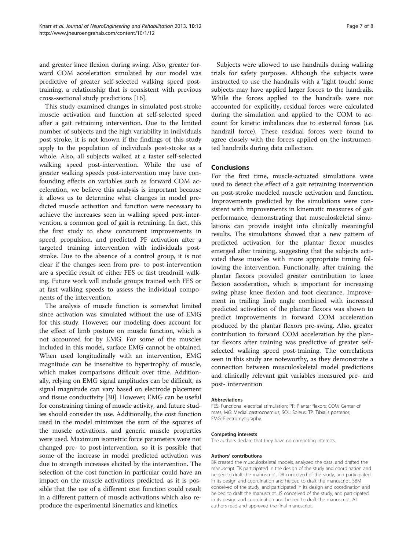and greater knee flexion during swing. Also, greater forward COM acceleration simulated by our model was predictive of greater self-selected walking speed posttraining, a relationship that is consistent with previous cross-sectional study predictions [\[16](#page-7-0)].

This study examined changes in simulated post-stroke muscle activation and function at self-selected speed after a gait retraining intervention. Due to the limited number of subjects and the high variability in individuals post-stroke, it is not known if the findings of this study apply to the population of individuals post-stroke as a whole. Also, all subjects walked at a faster self-selected walking speed post-intervention. While the use of greater walking speeds post-intervention may have confounding effects on variables such as forward COM acceleration, we believe this analysis is important because it allows us to determine what changes in model predicted muscle activation and function were necessary to achieve the increases seen in walking speed post-intervention, a common goal of gait is retraining. In fact, this the first study to show concurrent improvements in speed, propulsion, and predicted PF activation after a targeted training intervention with individuals poststroke. Due to the absence of a control group, it is not clear if the changes seen from pre- to post-intervention are a specific result of either FES or fast treadmill walking. Future work will include groups trained with FES or at fast walking speeds to assess the individual components of the intervention.

The analysis of muscle function is somewhat limited since activation was simulated without the use of EMG for this study. However, our modeling does account for the effect of limb posture on muscle function, which is not accounted for by EMG. For some of the muscles included in this model, surface EMG cannot be obtained. When used longitudinally with an intervention, EMG magnitude can be insensitive to hypertrophy of muscle, which makes comparisons difficult over time. Additionally, relying on EMG signal amplitudes can be difficult, as signal magnitude can vary based on electrode placement and tissue conductivity [\[30\]](#page-7-0). However, EMG can be useful for constraining timing of muscle activity, and future studies should consider its use. Additionally, the cost function used in the model minimizes the sum of the squares of the muscle activations, and generic muscle properties were used. Maximum isometric force parameters were not changed pre- to post-intervention, so it is possible that some of the increase in model predicted activation was due to strength increases elicited by the intervention. The selection of the cost function in particular could have an impact on the muscle activations predicted, as it is possible that the use of a different cost function could result in a different pattern of muscle activations which also reproduce the experimental kinematics and kinetics.

Subjects were allowed to use handrails during walking trials for safety purposes. Although the subjects were instructed to use the handrails with a 'light touch' some subjects may have applied larger forces to the handrails. While the forces applied to the handrails were not accounted for explicitly, residual forces were calculated during the simulation and applied to the COM to account for kinetic imbalances due to external forces (i.e. handrail force). These residual forces were found to agree closely with the forces applied on the instrumented handrails during data collection.

#### Conclusions

For the first time, muscle-actuated simulations were used to detect the effect of a gait retraining intervention on post-stroke modeled muscle activation and function. Improvements predicted by the simulations were consistent with improvements in kinematic measures of gait performance, demonstrating that musculoskeletal simulations can provide insight into clinically meaningful results. The simulations showed that a new pattern of predicted activation for the plantar flexor muscles emerged after training, suggesting that the subjects activated these muscles with more appropriate timing following the intervention. Functionally, after training, the plantar flexors provided greater contribution to knee flexion acceleration, which is important for increasing swing phase knee flexion and foot clearance. Improvement in trailing limb angle combined with increased predicted activation of the plantar flexors was shown to predict improvements in forward COM acceleration produced by the plantar flexors pre-swing. Also, greater contribution to forward COM acceleration by the plantar flexors after training was predictive of greater selfselected walking speed post-training. The correlations seen in this study are noteworthy, as they demonstrate a connection between musculoskeletal model predictions and clinically relevant gait variables measured pre- and post- intervention

#### Abbreviations

FES: Functional electrical stimulation; PF: Plantar flexors; COM: Center of mass; MG: Medial gastrocnemius; SOL: Soleus; TP: Tibialis posterior; EMG: Electromyography.

#### Competing interests

The authors declare that they have no competing interests.

#### Authors' contributions

BK created the musculoskeletal models, analyzed the data, and drafted the manuscript. TK participated in the design of the study and coordination and helped to draft the manuscript. DR conceived of the study, and participated in its design and coordination and helped to draft the manuscript. SBM conceived of the study, and participated in its design and coordination and helped to draft the manuscript. JS conceived of the study, and participated in its design and coordination and helped to draft the manuscript. All authors read and approved the final manuscript.